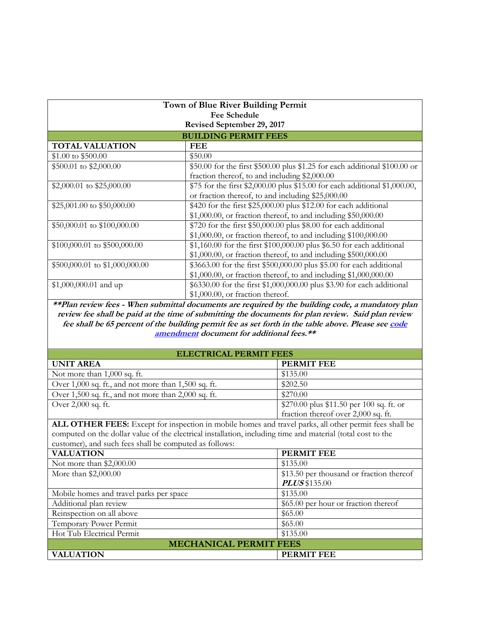| Town of Blue River Building Permit<br>Fee Schedule<br>Revised September 29, 2017 |                                                                            |  |
|----------------------------------------------------------------------------------|----------------------------------------------------------------------------|--|
|                                                                                  |                                                                            |  |
| <b>TOTAL VALUATION</b>                                                           | <b>FEE</b>                                                                 |  |
| \$1.00 to \$500.00                                                               | \$50.00                                                                    |  |
| \$500.01 to \$2,000.00                                                           | \$50.00 for the first \$500.00 plus \$1.25 for each additional \$100.00 or |  |
|                                                                                  | fraction thereof, to and including \$2,000.00                              |  |
| \$2,000.01 to \$25,000.00                                                        | \$75 for the first \$2,000.00 plus \$15.00 for each additional \$1,000.00, |  |
|                                                                                  | or fraction thereof, to and including \$25,000.00                          |  |
| \$25,001.00 to \$50,000.00                                                       | \$420 for the first \$25,000.00 plus \$12.00 for each additional           |  |
|                                                                                  | $$1,000.00$ , or fraction thereof, to and including $$50,000.00$           |  |
| \$50,000.01 to \$100,000.00                                                      | \$720 for the first \$50,000.00 plus \$8.00 for each additional            |  |
|                                                                                  | $$1,000.00$ , or fraction thereof, to and including $$100,000.00$          |  |
| $$100,000.01$ to $$500,000.00$                                                   | \$1,160.00 for the first \$100,000.00 plus \$6.50 for each additional      |  |
|                                                                                  | $$1,000.00$ , or fraction thereof, to and including $$500,000.00$          |  |
| \$500,000.01 to \$1,000,000.00                                                   | \$3663.00 for the first \$500,000.00 plus \$5.00 for each additional       |  |
|                                                                                  | $$1,000.00$ , or fraction thereof, to and including $$1,000,000.00$        |  |
| $$1,000,000.01$ and up                                                           | \$6330.00 for the first \$1,000,000.00 plus \$3.90 for each additional     |  |
|                                                                                  | $$1,000.00$ , or fraction thereof.                                         |  |

**\*\*Plan review fees - When submittal documents are required by the building code, a mandatory plan review fee shall be paid at the time of submitting the documents for plan review. Said plan review fee shall be 65 percent of the building permit fee as set forth in the table above. Please se[e code](file:///G:/Amendments%20and%20Codes/2006%20code%20amendments/revised2006codeamendmentpackage10-09.pdf)  [amendment](file:///G:/Amendments%20and%20Codes/2006%20code%20amendments/revised2006codeamendmentpackage10-09.pdf) document for additional fees.\*\***

| <b>ELECTRICAL PERMIT FEES</b> |  |
|-------------------------------|--|
|                               |  |

| <b>UNIT AREA</b>                                                                                            | <b>PERMIT FEE</b>                        |  |  |
|-------------------------------------------------------------------------------------------------------------|------------------------------------------|--|--|
| Not more than 1,000 sq. ft.                                                                                 | \$135.00                                 |  |  |
| Over 1,000 sq. ft., and not more than 1,500 sq. ft.                                                         | \$202.50                                 |  |  |
| Over 1,500 sq. ft., and not more than 2,000 sq. ft.                                                         | \$270.00                                 |  |  |
| Over 2,000 sq. ft.                                                                                          | \$270.00 plus \$11.50 per 100 sq. ft. or |  |  |
|                                                                                                             | fraction thereof over 2,000 sq. ft.      |  |  |
| ALL OTHER FEES: Except for inspection in mobile homes and travel parks, all other permit fees shall be      |                                          |  |  |
| computed on the dollar value of the electrical installation, including time and material (total cost to the |                                          |  |  |
| customer), and such fees shall be computed as follows:                                                      |                                          |  |  |
| <b>VALUATION</b>                                                                                            | <b>PERMIT FEE</b>                        |  |  |
| Not more than \$2,000.00                                                                                    | \$135.00                                 |  |  |
| More than \$2,000.00                                                                                        | \$13.50 per thousand or fraction thereof |  |  |
|                                                                                                             | <b>PLUS</b> \$135.00                     |  |  |
| Mobile homes and travel parks per space                                                                     | \$135.00                                 |  |  |
| Additional plan review                                                                                      | \$65.00 per hour or fraction thereof     |  |  |
| Reinspection on all above                                                                                   | \$65.00                                  |  |  |
| Temporary Power Permit                                                                                      | \$65.00                                  |  |  |
| Hot Tub Electrical Permit                                                                                   | \$135.00                                 |  |  |
| <b>MECHANICAL PERMIT FEES</b>                                                                               |                                          |  |  |
| <b>VALUATION</b>                                                                                            | <b>PERMIT FEE</b>                        |  |  |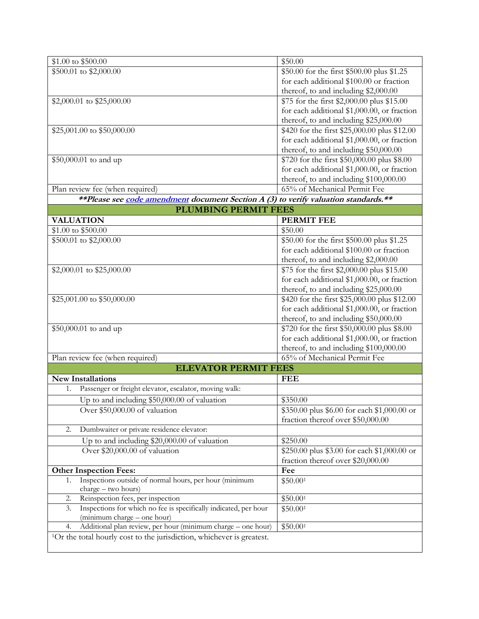| \$1.00 to \$500.00                                                                                    | \$50.00                                      |
|-------------------------------------------------------------------------------------------------------|----------------------------------------------|
| \$500.01 to \$2,000.00                                                                                | \$50.00 for the first \$500.00 plus \$1.25   |
|                                                                                                       | for each additional \$100.00 or fraction     |
|                                                                                                       | thereof, to and including \$2,000.00         |
| \$2,000.01 to \$25,000.00                                                                             | \$75 for the first \$2,000.00 plus \$15.00   |
|                                                                                                       | for each additional \$1,000.00, or fraction  |
|                                                                                                       | thereof, to and including \$25,000.00        |
| \$25,001.00 to \$50,000.00                                                                            | \$420 for the first \$25,000.00 plus \$12.00 |
|                                                                                                       | for each additional \$1,000.00, or fraction  |
|                                                                                                       | thereof, to and including \$50,000.00        |
| \$50,000.01 to and up                                                                                 | \$720 for the first \$50,000.00 plus \$8.00  |
|                                                                                                       | for each additional \$1,000.00, or fraction  |
|                                                                                                       | thereof, to and including \$100,000.00       |
| Plan review fee (when required)                                                                       | 65% of Mechanical Permit Fee                 |
| **Please see code amendment document Section A (3) to verify valuation standards.**                   |                                              |
| <b>PLUMBING PERMIT FEES</b>                                                                           |                                              |
| <b>VALUATION</b>                                                                                      | <b>PERMIT FEE</b>                            |
| \$1.00 to \$500.00                                                                                    | \$50.00                                      |
| \$500.01 to \$2,000.00                                                                                | \$50.00 for the first \$500.00 plus \$1.25   |
|                                                                                                       | for each additional \$100.00 or fraction     |
|                                                                                                       | thereof, to and including \$2,000.00         |
| \$2,000.01 to \$25,000.00                                                                             | \$75 for the first \$2,000.00 plus \$15.00   |
|                                                                                                       | for each additional \$1,000.00, or fraction  |
|                                                                                                       | thereof, to and including \$25,000.00        |
| \$25,001.00 to \$50,000.00                                                                            | \$420 for the first \$25,000.00 plus \$12.00 |
|                                                                                                       | for each additional \$1,000.00, or fraction  |
|                                                                                                       | thereof, to and including \$50,000.00        |
| \$50,000.01 to and up                                                                                 | \$720 for the first \$50,000.00 plus \$8.00  |
|                                                                                                       | for each additional \$1,000.00, or fraction  |
|                                                                                                       | thereof, to and including \$100,000.00       |
| Plan review fee (when required)                                                                       | 65% of Mechanical Permit Fee                 |
| <b>ELEVATOR PERMIT FEES</b>                                                                           |                                              |
| <b>New Installations</b><br>Passenger or freight elevator, escalator, moving walk:                    | <b>FEE</b>                                   |
| 1.                                                                                                    |                                              |
| Up to and including \$50,000.00 of valuation                                                          | \$350.00                                     |
| Over $$50,000.00$ of valuation                                                                        | \$350.00 plus \$6.00 for each \$1,000.00 or  |
|                                                                                                       | fraction thereof over \$50,000.00            |
| Dumbwaiter or private residence elevator:<br>2.                                                       |                                              |
| Up to and including \$20,000.00 of valuation                                                          | \$250.00                                     |
| Over \$20,000.00 of valuation                                                                         | \$250.00 plus \$3.00 for each \$1,000.00 or  |
|                                                                                                       | fraction thereof over \$20,000.00            |
| <b>Other Inspection Fees:</b>                                                                         | Fee                                          |
| Inspections outside of normal hours, per hour (minimum<br>1.<br>charge - two hours)                   | \$50.001                                     |
| Reinspection fees, per inspection<br>2.                                                               | \$50.001                                     |
| Inspections for which no fee is specifically indicated, per hour<br>3.<br>(minimum charge – one hour) | \$50.001                                     |
| Additional plan review, per hour (minimum charge - one hour)<br>4.                                    | \$50.001                                     |
| <sup>1</sup> Or the total hourly cost to the jurisdiction, whichever is greatest.                     |                                              |
|                                                                                                       |                                              |